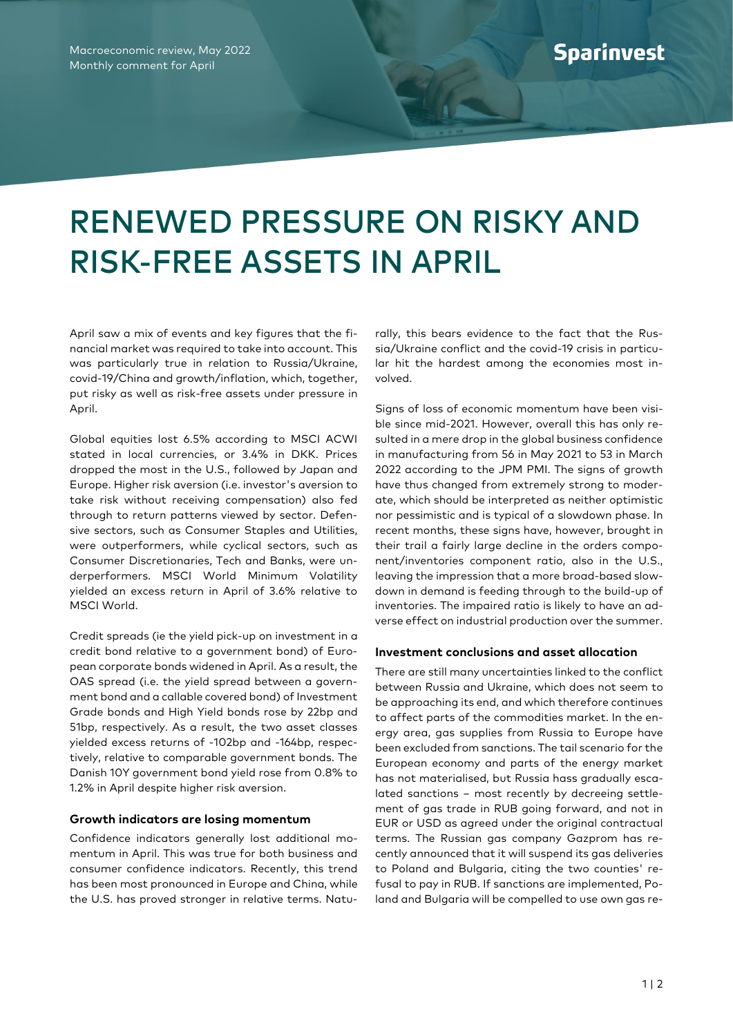## RENEWED PRESSURE ON RISKY AND RISK-FREE ASSETS IN APRIL

April saw a mix of events and key figures that the financial market was required to take into account. This was particularly true in relation to Russia/Ukraine, covid-19/China and growth/inflation, which, together, put risky as well as risk-free assets under pressure in April.

Global equities lost 6.5% according to MSCI ACWI stated in local currencies, or 3.4% in DKK. Prices dropped the most in the U.S., followed by Japan and Europe. Higher risk aversion (i.e. investor's aversion to take risk without receiving compensation) also fed through to return patterns viewed by sector. Defensive sectors, such as Consumer Staples and Utilities, were outperformers, while cyclical sectors, such as Consumer Discretionaries, Tech and Banks, were underperformers. MSCI World Minimum Volatility yielded an excess return in April of 3.6% relative to MSCI World.

Credit spreads (ie the yield pick-up on investment in a credit bond relative to a government bond) of European corporate bonds widened in April. As a result, the OAS spread (i.e. the yield spread between a government bond and a callable covered bond) of Investment Grade bonds and High Yield bonds rose by 22bp and 51bp, respectively. As a result, the two asset classes yielded excess returns of -102bp and -164bp, respectively, relative to comparable government bonds. The Danish 10Y government bond yield rose from 0.8% to 1.2% in April despite higher risk aversion.

## **Growth indicators are losing momentum**

Confidence indicators generally lost additional momentum in April. This was true for both business and consumer confidence indicators. Recently, this trend has been most pronounced in Europe and China, while the U.S. has proved stronger in relative terms. Natu-

rally, this bears evidence to the fact that the Russia/Ukraine conflict and the covid-19 crisis in particular hit the hardest among the economies most involved.

Signs of loss of economic momentum have been visible since mid-2021. However, overall this has only resulted in a mere drop in the global business confidence in manufacturing from 56 in May 2021 to 53 in March 2022 according to the JPM PMI. The signs of growth have thus changed from extremely strong to moderate, which should be interpreted as neither optimistic nor pessimistic and is typical of a slowdown phase. In recent months, these signs have, however, brought in their trail a fairly large decline in the orders component/inventories component ratio, also in the U.S., leaving the impression that a more broad-based slowdown in demand is feeding through to the build-up of inventories. The impaired ratio is likely to have an adverse effect on industrial production over the summer.

## **Investment conclusions and asset allocation**

There are still many uncertainties linked to the conflict between Russia and Ukraine, which does not seem to be approaching its end, and which therefore continues to affect parts of the commodities market. In the energy area, gas supplies from Russia to Europe have been excluded from sanctions. The tail scenario for the European economy and parts of the energy market has not materialised, but Russia hass gradually escalated sanctions – most recently by decreeing settlement of gas trade in RUB going forward, and not in EUR or USD as agreed under the original contractual terms. The Russian gas company Gazprom has recently announced that it will suspend its gas deliveries to Poland and Bulgaria, citing the two counties' refusal to pay in RUB. If sanctions are implemented, Poland and Bulgaria will be compelled to use own gas re-